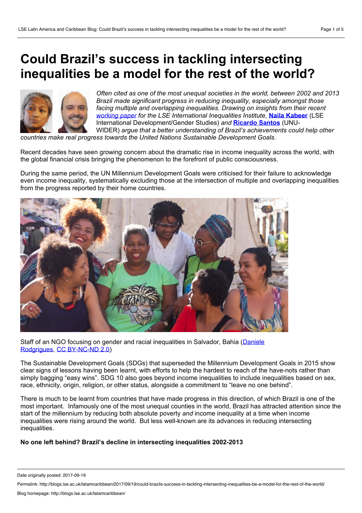# **Could Brazil's success in tackling intersecting inequalities be a model for the rest of the world?**



*Often cited as one ofthe most unequal societies in the world, between 2002 and 2013 Brazil made significant progress in reducing inequality, especially amongst those facing multiple and overlapping inequalities. Drawing on insights from their recent [working](http://www.lse.ac.uk/International-Inequalities/Assets/Documents/Working-Papers/III-Working-Paper-14-Intersecting-inequalities-and-the-Sustainable-Development-Goals-insights-from-Brazil-Naila-Kabeer-and-Ricardo-Santos.pdf) paper for the LSE International Inequalities Institute,* **Naila [Kabeer](#page-4-0)** (LSE International Development/Gender Studies) *and* **[Ricardo](#page-4-0) Santos** (UNU- WIDER) *argue that a better understanding of Brazil's achievements could help other*

*countries make real progress towards the United Nations Sustainable Development Goals.*

Recent decades have seen growing concern about the dramatic rise in income inequality across the world, with the global financial crisis bringing the phenomenon to the forefront of public consciousness.

During the same period, the UN Millennium Development Goals were criticised for their failure to acknowledge even income inequality, systematically excluding those at the intersection of multiple and overlapping inequalities from the progress reported by their home countries.



Staff of an NGO focusing on gender and racial inequalities in Salvador, Bahia (Daniele [Rodgrigues,](https://www.flickr.com/photos/iwhc/36497374661) CC [BY-NC-ND](https://creativecommons.org/licenses/by-nc-nd/2.0/) 2.0)

The Sustainable Development Goals (SDGs) that superseded the Millennium Development Goals in 2015 show clear signs of lessons having been learnt, with efforts to help the hardest to reach of the have-nots rather than simply bagging "easy wins". SDG 10 also goes beyond income inequalities to include inequalities based on sex, race, ethnicity, origin, religion, or other status, alongside a commitment to "leave no one behind".

There is much to be learnt from countries that have made progress in this direction, of which Brazil is one of the most important. Infamously one of the most unequal counties in the world, Brazil has attracted attention since the start of the millennium by reducing both absolute poverty *and* income inequality at a time when income inequalities were rising around the world. But less well-known are its advances in reducing intersecting inequalities.

# **No one left behind? Brazil's decline in intersecting inequalities 2002-2013**

Date originally posted: 2017-09-19

Permalink: http://blogs.lse.ac.uk/latamcaribbean/2017/09/19/could-brazils-success-in-tackling-intersecting-inequalities-be-a-model-for-the-rest-of-the-world/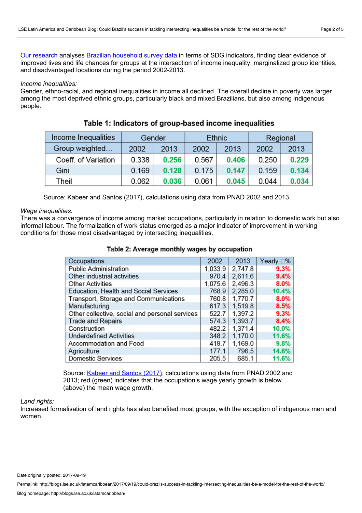Our [research](http://www.lse.ac.uk/International-Inequalities/Assets/Documents/Working-Papers/III-Working-Paper-14-Intersecting-inequalities-and-the-Sustainable-Development-Goals-insights-from-Brazil-Naila-Kabeer-and-Ricardo-Santos.pdf) analyses Brazilian [household](http://www.ibge.gov.br/home/estatistica/pesquisas/pesquisa_resultados.php?id_pesquisa=40) survey data in terms of SDG indicators, finding clear evidence of improved lives and life chances for groups at the intersection of income inequality, marginalized group identities, and disadvantaged locations during the period 2002-2013.

### *Income inequalities:*

Gender, ethno-racial, and regional inequalities in income all declined. The overall decline in poverty was larger among the most deprived ethnic groups, particularly black and mixed Brazilians, but also among indigenous people.

| Income Inequalities | Gender |       | <b>Ethnic</b> |       | Regional |       |
|---------------------|--------|-------|---------------|-------|----------|-------|
| Group weighted      | 2002   | 2013  | 2002          | 2013  | 2002     | 2013  |
| Coeff. of Variation | 0.338  | 0.256 | 0.567         | 0.406 | 0.250    | 0.229 |
| Gini                | 0.169  | 0.128 | 0.175         | 0.147 | 0.159    | 0.134 |
| Theil               | 0.062  | 0.036 | 0.061         | 0.045 | 0.044    | 0.034 |

Table 1: Indicators of group-based income inequalities

Source: Kabeer and Santos (2017), calculations using data from PNAD 2002 and 2013

## *Wage inequalities:*

There was a convergence of income among market occupations, particularly in relation to domestic work but also informal labour. The formalization of work status emerged as a major indicator of improvement in working conditions for those most disadvantaged by intersecting inequalities.

| Occupations                                    | 2002    | 2013    | Yearly <sub>9%</sub> |
|------------------------------------------------|---------|---------|----------------------|
| <b>Public Administration</b>                   | 1,033.9 | 2,747.8 | 9.3%                 |
| Other industrial activities                    | 970.4   | 2,611.6 | 9.4%                 |
| <b>Other Activities</b>                        | 1,075.6 | 2,496.3 | $8.0\%$              |
| Education, Health and Social Services          | 768.9   | 2,285.0 | 10.4%                |
| Transport, Storage and Communications          | 760.8   | 1,770.7 | $8.0\%$              |
| Manufacturing                                  | 617.3   | 1,519.8 | 8.5%                 |
| Other collective, social and personal services | 522.7   | 1,397.2 | 9.3%                 |
| <b>Trade and Repairs</b>                       | 574.3   | 1,393.7 | 8.4%                 |
| Construction                                   | 482.2   | 1,371.4 | 10.0%                |
| <b>Underdefined Activities</b>                 | 348.2   | 1,170.0 | 11.6%                |
| Accommodation and Food                         | 419.7   | 1,169.0 | 9.8%                 |
| Agriculture                                    | 177.1   | 796.5   | 14.6%                |
| <b>Domestic Services</b>                       | 205.5   | 685.1   | 11.6%                |

# Table 2: Average monthly wages by occupation

Source: [Kabeer](http://www.lse.ac.uk/International-Inequalities/Assets/Documents/Working-Papers/III-Working-Paper-14-Intersecting-inequalities-and-the-Sustainable-Development-Goals-insights-from-Brazil-Naila-Kabeer-and-Ricardo-Santos.pdf) and Santos (2017), calculations using data from PNAD 2002 and 2013; red (green) indicates that the occupation's wage yearly growth is below (above) the mean wage growth.

## *Land rights:*

Increased formalisation of land rights has also benefited most groups, with the exception of indigenous men and women.

Date originally posted: 2017-09-19

Permalink: http://blogs.lse.ac.uk/latamcaribbean/2017/09/19/could-brazils-success-in-tackling-intersecting-inequalities-be-a-model-for-the-rest-of-the-world/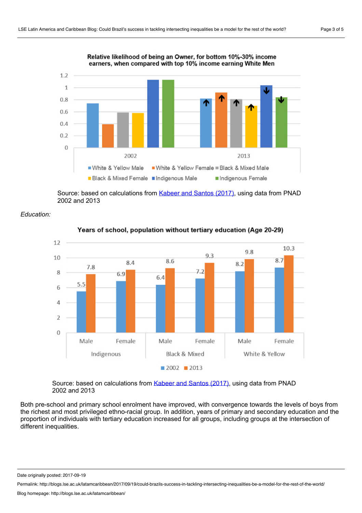

Relative likelihood of being an Owner, for bottom 10%-30% income earners, when compared with top 10% income earning White Men

Source: based on calculations from [Kabeer](http://www.lse.ac.uk/International-Inequalities/Assets/Documents/Working-Papers/III-Working-Paper-14-Intersecting-inequalities-and-the-Sustainable-Development-Goals-insights-from-Brazil-Naila-Kabeer-and-Ricardo-Santos.pdf) and Santos (2017), using data from PNAD 2002 and 2013





Years of school, population without tertiary education (Age 20-29)

Source: based on calculations from [Kabeer](http://www.lse.ac.uk/International-Inequalities/Assets/Documents/Working-Papers/III-Working-Paper-14-Intersecting-inequalities-and-the-Sustainable-Development-Goals-insights-from-Brazil-Naila-Kabeer-and-Ricardo-Santos.pdf) and Santos (2017), using data from PNAD 2002 and 2013

Both pre-school and primary school enrolment have improved, with convergence towards the levels of boys from the richest and most privileged ethno-racial group. In addition, years of primary and secondary education and the proportion of individuals with tertiary education increased for all groups, including groups at the intersection of different inequalities.

Date originally posted: 2017-09-19

Permalink: http://blogs.lse.ac.uk/latamcaribbean/2017/09/19/could-brazils-success-in-tackling-intersecting-inequalities-be-a-model-for-the-rest-of-the-world/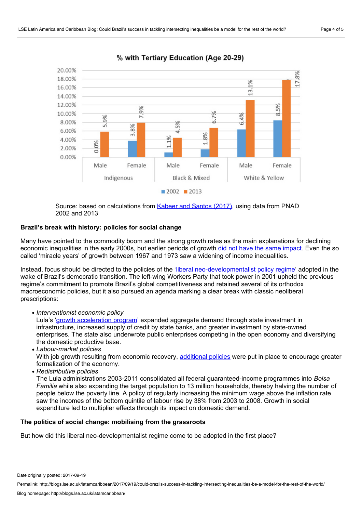

% with Tertiary Education (Age 20-29)

Source: based on calculations from [Kabeer](http://www.lse.ac.uk/International-Inequalities/Assets/Documents/Working-Papers/III-Working-Paper-14-Intersecting-inequalities-and-the-Sustainable-Development-Goals-insights-from-Brazil-Naila-Kabeer-and-Ricardo-Santos.pdf) and Santos (2017), using data from PNAD 2002 and 2013

# **Brazil's break with history: policies for social change**

Many have pointed to the commodity boom and the strong growth rates as the main explanations for declining economic inequalities in the early 2000s, but earlier periods of growth did not have the same [impact.](https://www.wider.unu.edu/publication/there-brazilian-model-development) Even the so called 'miracle years' of growth between 1967 and 1973 saw a widening of income inequalities.

Instead, focus should be directed to the policies of the 'liberal [neo-developmentalist](http://www.journals.uchicago.edu/doi/abs/10.1086/685731) policy regime' adopted in the wake of Brazil's democratic transition. The left-wing Workers Party that took power in 2001 upheld the previous regime's commitment to promote Brazil's global competitiveness and retained several of its orthodox macroeconomic policies, but it also pursued an agenda marking a clear break with classic neoliberal prescriptions:

Lula's 'growth [acceleration](https://nodocuments.files.wordpress.com/2010/03/barbosa-nelson-souza-jose-antonio-pereira-de-a-inflexao-do-governo-lula-politica-economica-crescimento-e-distribuicao-de-renda.pdf) program' expanded aggregate demand through state investment in infrastructure, increased supply of credit by state banks, and greater investment by state-owned enterprises. The state also underwrote public enterprises competing in the open economy and diversifying the domestic productive base.

- *Labour-market policies* With job growth resulting from economic recovery, [additional](http://www.ase.tufts.edu/gdae/Pubs/rp/BergLaborFormalityBrazil.pdf) policies were put in place to encourage greater formalization of the economy.
- *Redistributive policies*

The Lula administrations 2003-2011 consolidated all federal guaranteed-income programmes into *Bolsa Familia* while also expanding the target population to 13 million households, thereby halving the number of people below the poverty line. A policy of regularly increasing the minimum wage above the inflation rate saw the incomes of the bottom quintile of labour rise by 38% from 2003 to 2008. Growth in social expenditure led to multiplier effects through its impact on domestic demand.

## **The politics of socialchange: mobilising from the grassroots**

But how did this liberal neo-developmentalist regime come to be adopted in the first place?

*Interventionist economic policy*

Date originally posted: 2017-09-19

Permalink: http://blogs.lse.ac.uk/latamcaribbean/2017/09/19/could-brazils-success-in-tackling-intersecting-inequalities-be-a-model-for-the-rest-of-the-world/